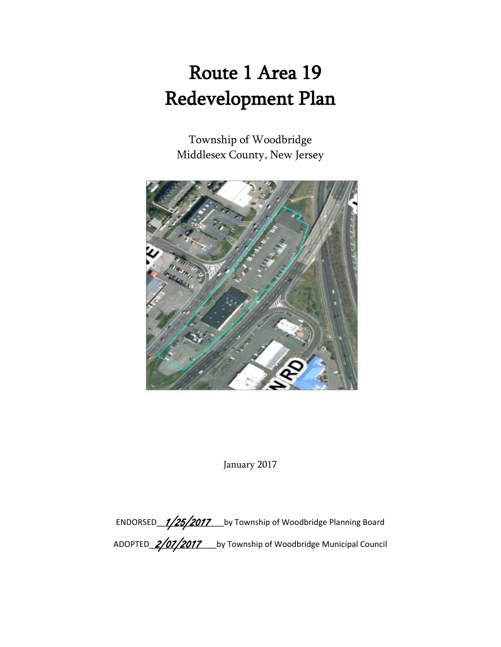# Route 1 Area 19 Redevelopment Plan

Township of Woodbridge Middlesex County, New Jersey



January 2017

ENDORSED 1/25/2017 Lby Township of Woodbridge Planning Board ADOPTED 2/07/2017 Lby Township of Woodbridge Municipal Council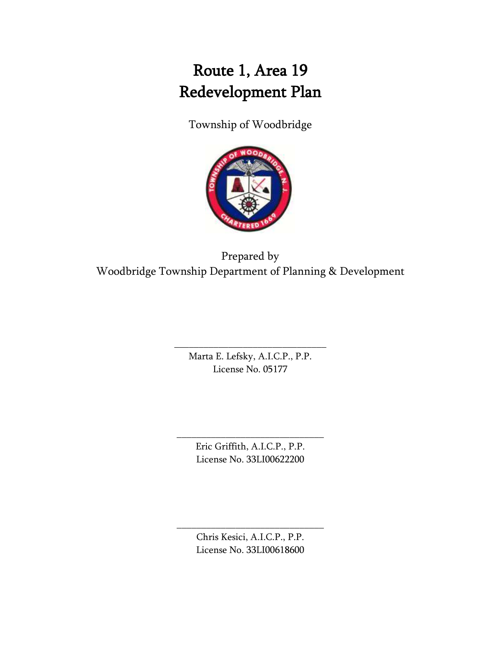## Route 1, Area 19 Redevelopment Plan

Township of Woodbridge



Prepared by Woodbridge Township Department of Planning & Development

> Marta E. Lefsky, A.I.C.P., P.P. License No. 05177

\_\_\_\_\_\_\_\_\_\_\_\_\_\_\_\_\_\_\_\_\_\_\_\_\_\_\_\_\_\_\_

Eric Griffith, A.I.C.P., P.P. License No. 33LI00622200

\_\_\_\_\_\_\_\_\_\_\_\_\_\_\_\_\_\_\_\_\_\_\_\_\_\_\_\_\_\_

Chris Kesici, A.I.C.P., P.P. License No. 33LI00618600

\_\_\_\_\_\_\_\_\_\_\_\_\_\_\_\_\_\_\_\_\_\_\_\_\_\_\_\_\_\_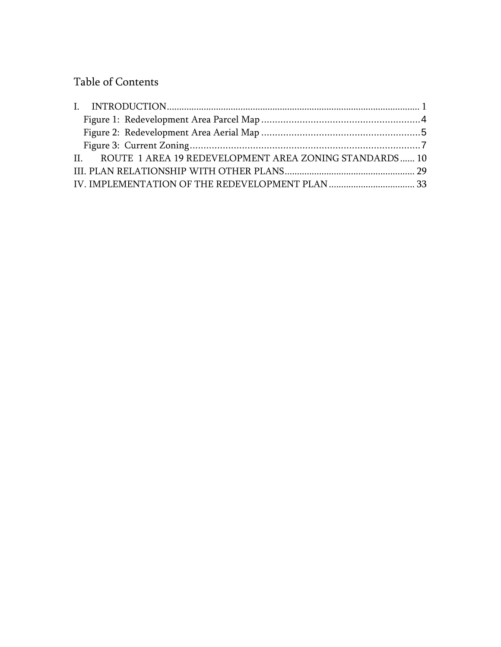## Table of Contents

| II. ROUTE 1 AREA 19 REDEVELOPMENT AREA ZONING STANDARDS 10 |  |
|------------------------------------------------------------|--|
|                                                            |  |
|                                                            |  |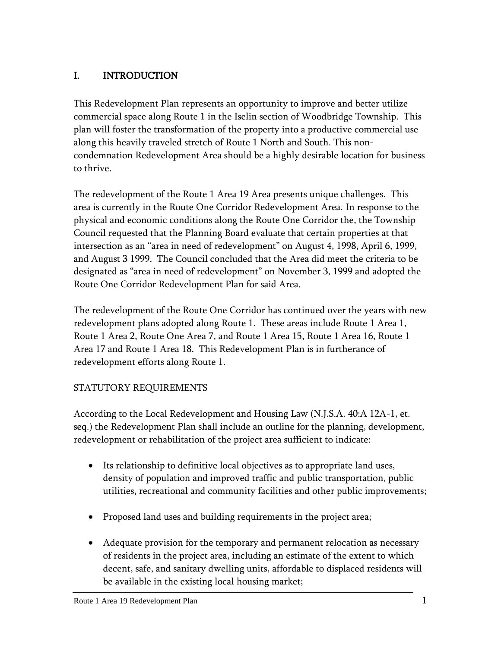## <span id="page-4-0"></span>I. INTRODUCTION

This Redevelopment Plan represents an opportunity to improve and better utilize commercial space along Route 1 in the Iselin section of Woodbridge Township. This plan will foster the transformation of the property into a productive commercial use along this heavily traveled stretch of Route 1 North and South. This noncondemnation Redevelopment Area should be a highly desirable location for business to thrive.

The redevelopment of the Route 1 Area 19 Area presents unique challenges. This area is currently in the Route One Corridor Redevelopment Area. In response to the physical and economic conditions along the Route One Corridor the, the Township Council requested that the Planning Board evaluate that certain properties at that intersection as an "area in need of redevelopment" on August 4, 1998, April 6, 1999, and August 3 1999. The Council concluded that the Area did meet the criteria to be designated as "area in need of redevelopment" on November 3, 1999 and adopted the Route One Corridor Redevelopment Plan for said Area.

The redevelopment of the Route One Corridor has continued over the years with new redevelopment plans adopted along Route 1. These areas include Route 1 Area 1, Route 1 Area 2, Route One Area 7, and Route 1 Area 15, Route 1 Area 16, Route 1 Area 17 and Route 1 Area 18. This Redevelopment Plan is in furtherance of redevelopment efforts along Route 1.

## STATUTORY REQUIREMENTS

According to the Local Redevelopment and Housing Law (N.J.S.A. 40:A 12A-1, et. seq.) the Redevelopment Plan shall include an outline for the planning, development, redevelopment or rehabilitation of the project area sufficient to indicate:

- Its relationship to definitive local objectives as to appropriate land uses, density of population and improved traffic and public transportation, public utilities, recreational and community facilities and other public improvements;
- Proposed land uses and building requirements in the project area;
- Adequate provision for the temporary and permanent relocation as necessary of residents in the project area, including an estimate of the extent to which decent, safe, and sanitary dwelling units, affordable to displaced residents will be available in the existing local housing market;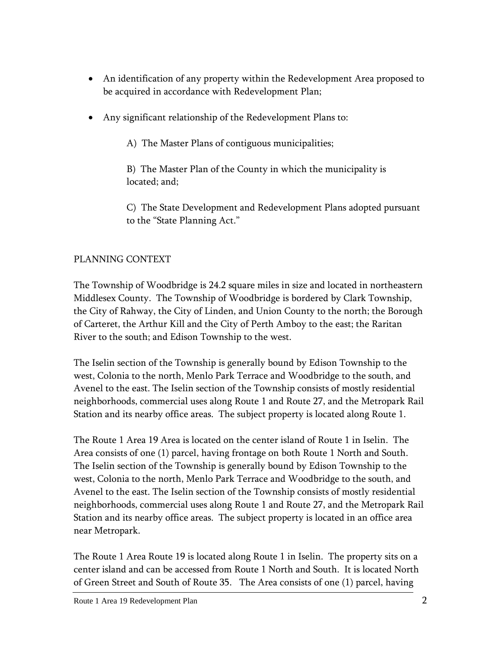- An identification of any property within the Redevelopment Area proposed to be acquired in accordance with Redevelopment Plan;
- Any significant relationship of the Redevelopment Plans to:

A) The Master Plans of contiguous municipalities;

B) The Master Plan of the County in which the municipality is located; and;

C) The State Development and Redevelopment Plans adopted pursuant to the "State Planning Act."

## PLANNING CONTEXT

The Township of Woodbridge is 24.2 square miles in size and located in northeastern Middlesex County. The Township of Woodbridge is bordered by Clark Township, the City of Rahway, the City of Linden, and Union County to the north; the Borough of Carteret, the Arthur Kill and the City of Perth Amboy to the east; the Raritan River to the south; and Edison Township to the west.

The Iselin section of the Township is generally bound by Edison Township to the west, Colonia to the north, Menlo Park Terrace and Woodbridge to the south, and Avenel to the east. The Iselin section of the Township consists of mostly residential neighborhoods, commercial uses along Route 1 and Route 27, and the Metropark Rail Station and its nearby office areas. The subject property is located along Route 1.

The Route 1 Area 19 Area is located on the center island of Route 1 in Iselin. The Area consists of one (1) parcel, having frontage on both Route 1 North and South. The Iselin section of the Township is generally bound by Edison Township to the west, Colonia to the north, Menlo Park Terrace and Woodbridge to the south, and Avenel to the east. The Iselin section of the Township consists of mostly residential neighborhoods, commercial uses along Route 1 and Route 27, and the Metropark Rail Station and its nearby office areas. The subject property is located in an office area near Metropark.

The Route 1 Area Route 19 is located along Route 1 in Iselin. The property sits on a center island and can be accessed from Route 1 North and South. It is located North of Green Street and South of Route 35. The Area consists of one (1) parcel, having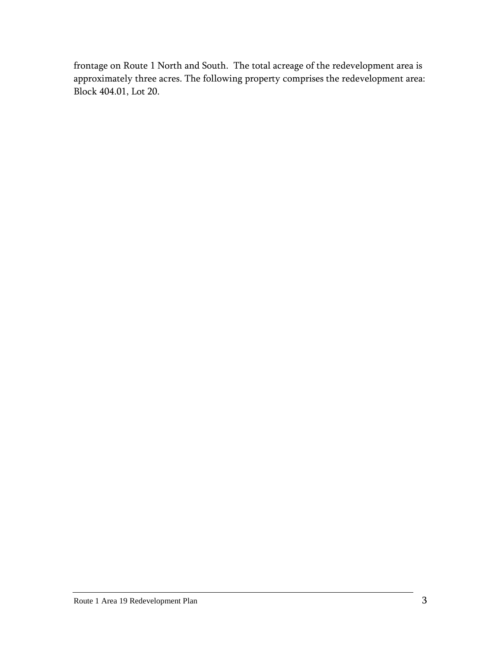frontage on Route 1 North and South. The total acreage of the redevelopment area is approximately three acres. The following property comprises the redevelopment area: Block 404.01, Lot 20.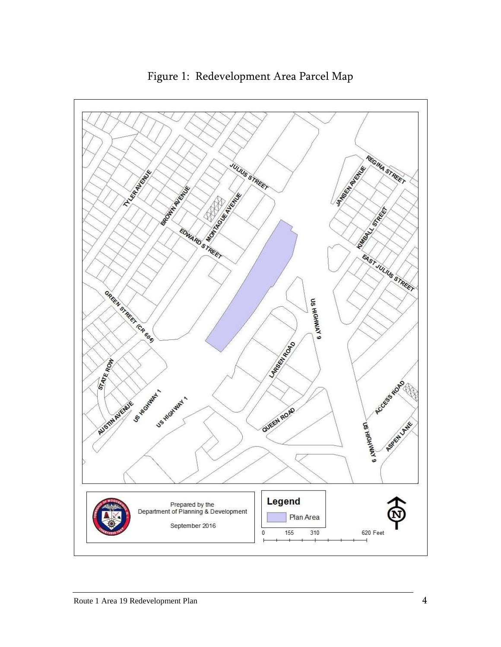<span id="page-7-0"></span>

Figure 1: Redevelopment Area Parcel Map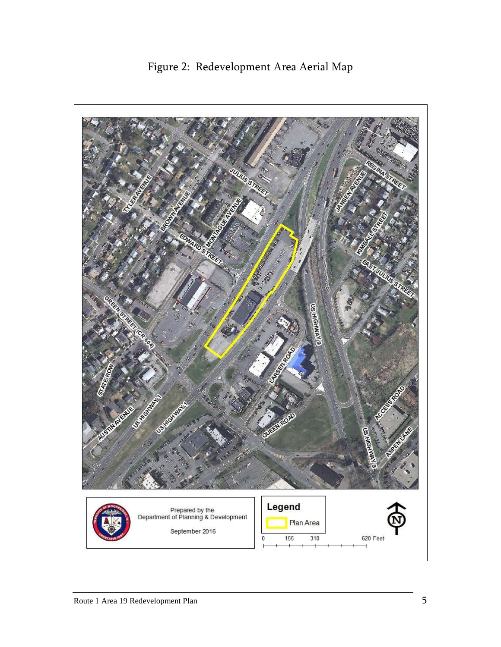<span id="page-8-0"></span>

Figure 2: Redevelopment Area Aerial Map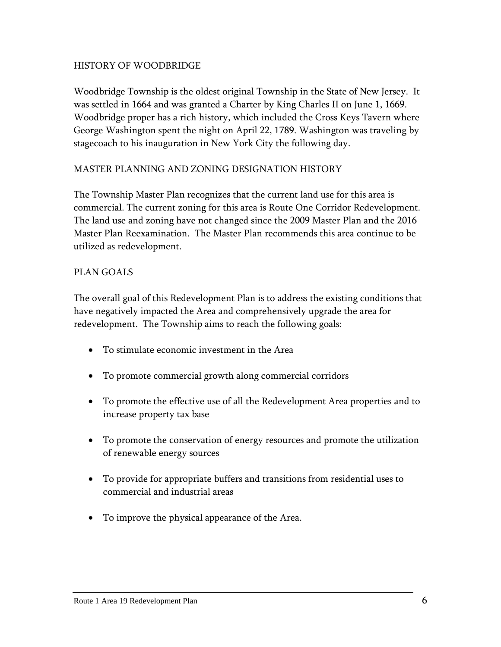## HISTORY OF WOODBRIDGE

Woodbridge Township is the oldest original Township in the State of New Jersey. It was settled in 1664 and was granted a Charter by King Charles II on June 1, 1669. Woodbridge proper has a rich history, which included the Cross Keys Tavern where George Washington spent the night on April 22, 1789. Washington was traveling by stagecoach to his inauguration in New York City the following day.

## MASTER PLANNING AND ZONING DESIGNATION HISTORY

The Township Master Plan recognizes that the current land use for this area is commercial. The current zoning for this area is Route One Corridor Redevelopment. The land use and zoning have not changed since the 2009 Master Plan and the 2016 Master Plan Reexamination. The Master Plan recommends this area continue to be utilized as redevelopment.

## PLAN GOALS

The overall goal of this Redevelopment Plan is to address the existing conditions that have negatively impacted the Area and comprehensively upgrade the area for redevelopment. The Township aims to reach the following goals:

- To stimulate economic investment in the Area
- To promote commercial growth along commercial corridors
- To promote the effective use of all the Redevelopment Area properties and to increase property tax base
- To promote the conservation of energy resources and promote the utilization of renewable energy sources
- To provide for appropriate buffers and transitions from residential uses to commercial and industrial areas
- To improve the physical appearance of the Area.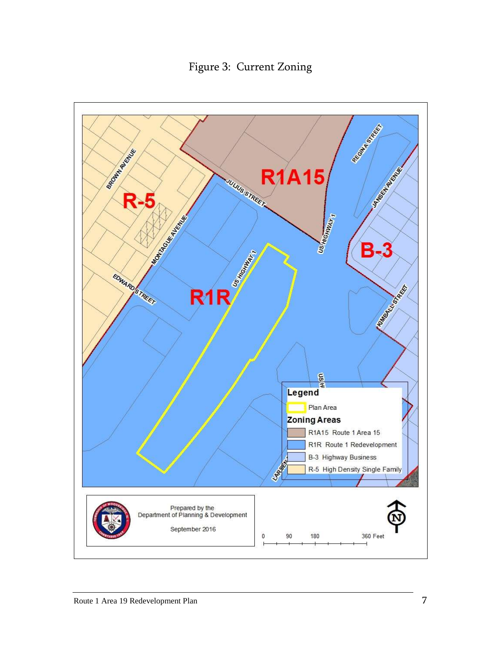Figure 3: Current Zoning

<span id="page-10-0"></span>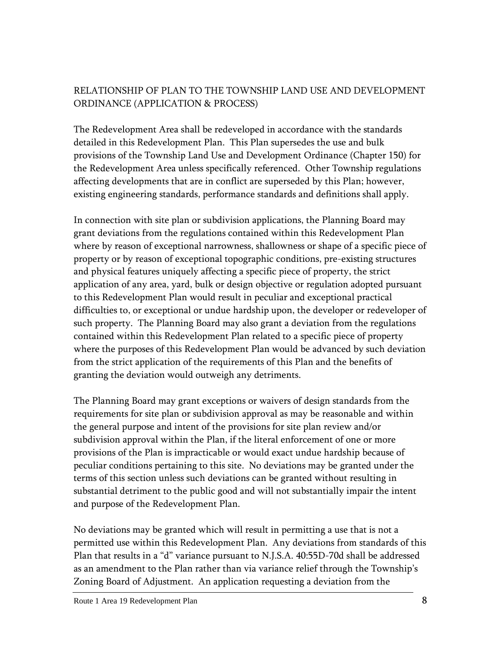## RELATIONSHIP OF PLAN TO THE TOWNSHIP LAND USE AND DEVELOPMENT ORDINANCE (APPLICATION & PROCESS)

The Redevelopment Area shall be redeveloped in accordance with the standards detailed in this Redevelopment Plan. This Plan supersedes the use and bulk provisions of the Township Land Use and Development Ordinance (Chapter 150) for the Redevelopment Area unless specifically referenced. Other Township regulations affecting developments that are in conflict are superseded by this Plan; however, existing engineering standards, performance standards and definitions shall apply.

In connection with site plan or subdivision applications, the Planning Board may grant deviations from the regulations contained within this Redevelopment Plan where by reason of exceptional narrowness, shallowness or shape of a specific piece of property or by reason of exceptional topographic conditions, pre-existing structures and physical features uniquely affecting a specific piece of property, the strict application of any area, yard, bulk or design objective or regulation adopted pursuant to this Redevelopment Plan would result in peculiar and exceptional practical difficulties to, or exceptional or undue hardship upon, the developer or redeveloper of such property. The Planning Board may also grant a deviation from the regulations contained within this Redevelopment Plan related to a specific piece of property where the purposes of this Redevelopment Plan would be advanced by such deviation from the strict application of the requirements of this Plan and the benefits of granting the deviation would outweigh any detriments.

The Planning Board may grant exceptions or waivers of design standards from the requirements for site plan or subdivision approval as may be reasonable and within the general purpose and intent of the provisions for site plan review and/or subdivision approval within the Plan, if the literal enforcement of one or more provisions of the Plan is impracticable or would exact undue hardship because of peculiar conditions pertaining to this site. No deviations may be granted under the terms of this section unless such deviations can be granted without resulting in substantial detriment to the public good and will not substantially impair the intent and purpose of the Redevelopment Plan.

No deviations may be granted which will result in permitting a use that is not a permitted use within this Redevelopment Plan. Any deviations from standards of this Plan that results in a "d" variance pursuant to N.J.S.A. 40:55D-70d shall be addressed as an amendment to the Plan rather than via variance relief through the Township's Zoning Board of Adjustment. An application requesting a deviation from the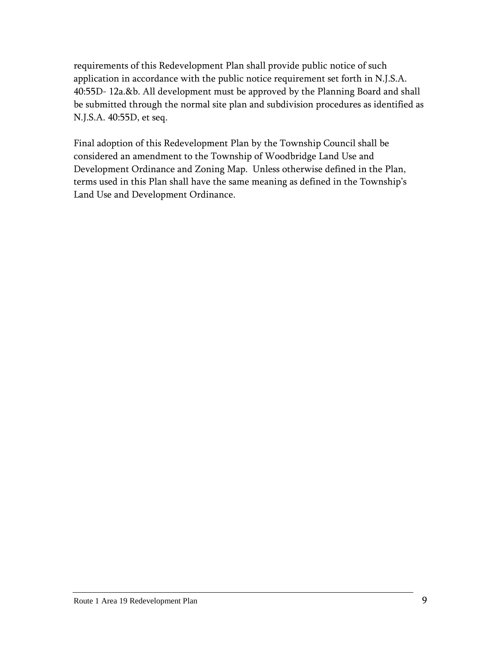requirements of this Redevelopment Plan shall provide public notice of such application in accordance with the public notice requirement set forth in N.J.S.A. 40:55D- 12a.&b. All development must be approved by the Planning Board and shall be submitted through the normal site plan and subdivision procedures as identified as N.J.S.A. 40:55D, et seq.

Final adoption of this Redevelopment Plan by the Township Council shall be considered an amendment to the Township of Woodbridge Land Use and Development Ordinance and Zoning Map. Unless otherwise defined in the Plan, terms used in this Plan shall have the same meaning as defined in the Township's Land Use and Development Ordinance.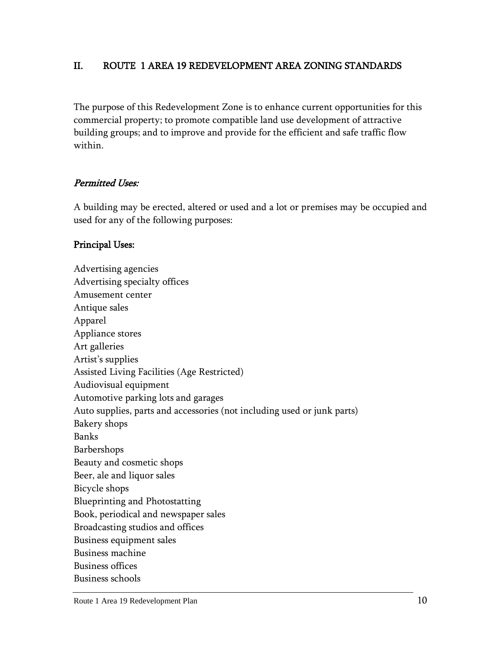## <span id="page-13-0"></span>II. ROUTE 1 AREA 19 REDEVELOPMENT AREA ZONING STANDARDS

The purpose of this Redevelopment Zone is to enhance current opportunities for this commercial property; to promote compatible land use development of attractive building groups; and to improve and provide for the efficient and safe traffic flow within.

#### Permitted Uses:

A building may be erected, altered or used and a lot or premises may be occupied and used for any of the following purposes:

#### Principal Uses:

Advertising agencies Advertising specialty offices Amusement center Antique sales Apparel Appliance stores Art galleries Artist's supplies Assisted Living Facilities (Age Restricted) Audiovisual equipment Automotive parking lots and garages Auto supplies, parts and accessories (not including used or junk parts) Bakery shops Banks Barbershops Beauty and cosmetic shops Beer, ale and liquor sales Bicycle shops Blueprinting and Photostatting Book, periodical and newspaper sales Broadcasting studios and offices Business equipment sales Business machine Business offices Business schools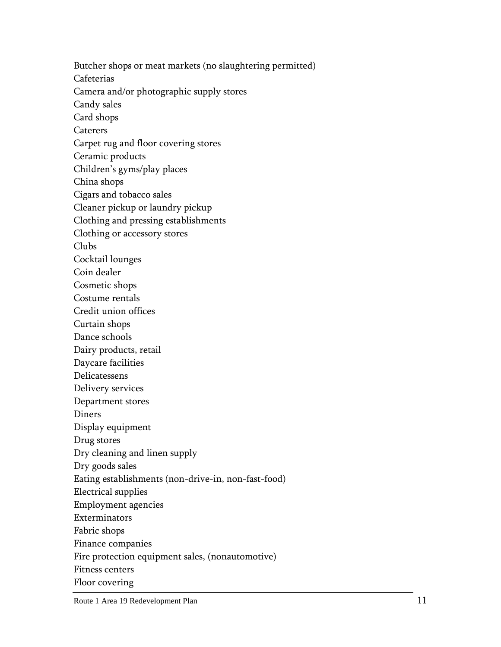Butcher shops or meat markets (no slaughtering permitted) Cafeterias Camera and/or photographic supply stores Candy sales Card shops Caterers Carpet rug and floor covering stores Ceramic products Children's gyms/play places China shops Cigars and tobacco sales Cleaner pickup or laundry pickup Clothing and pressing establishments Clothing or accessory stores Clubs Cocktail lounges Coin dealer Cosmetic shops Costume rentals Credit union offices Curtain shops Dance schools Dairy products, retail Daycare facilities Delicatessens Delivery services Department stores Diners Display equipment Drug stores Dry cleaning and linen supply Dry goods sales Eating establishments (non-drive-in, non-fast-food) Electrical supplies Employment agencies Exterminators Fabric shops Finance companies Fire protection equipment sales, (nonautomotive) Fitness centers Floor covering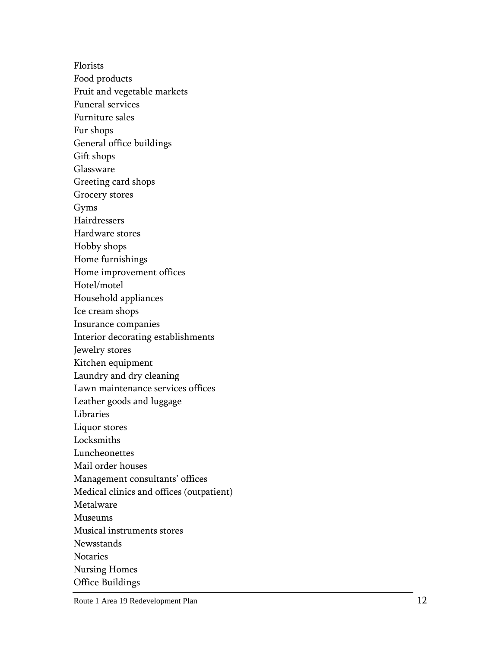Florists Food products Fruit and vegetable markets Funeral services Furniture sales Fur shops General office buildings Gift shops Glassware Greeting card shops Grocery stores Gyms Hairdressers Hardware stores Hobby shops Home furnishings Home improvement offices Hotel/motel Household appliances Ice cream shops Insurance companies Interior decorating establishments Jewelry stores Kitchen equipment Laundry and dry cleaning Lawn maintenance services offices Leather goods and luggage Libraries Liquor stores Locksmiths Luncheonettes Mail order houses Management consultants' offices Medical clinics and offices (outpatient) Metalware Museums Musical instruments stores

Newsstands

Notaries

Nursing Homes

Office Buildings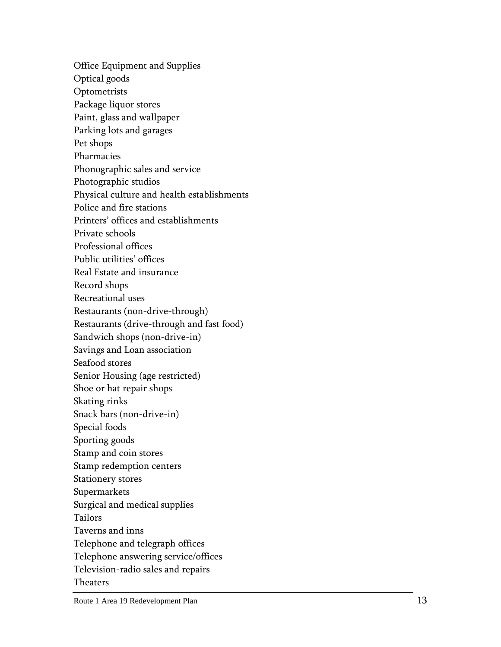Office Equipment and Supplies Optical goods **Optometrists** Package liquor stores Paint, glass and wallpaper Parking lots and garages Pet shops Pharmacies Phonographic sales and service Photographic studios Physical culture and health establishments Police and fire stations Printers' offices and establishments Private schools Professional offices Public utilities' offices Real Estate and insurance Record shops Recreational uses Restaurants (non -drive -through ) Restaurants (drive -through and fast food) Sandwich shops (non -drive -in) Savings and Loan association Seafood stores Senior Housing (age restricted) Shoe or hat repair shops Skating rinks Snack bars (non -drive -in) Special foods Sporting goods Stamp and coin stores Stamp redemption centers Stationery stores Supermarkets Surgical and medical supplies Tailors Taverns and inns Telephone and telegraph offices Telephone answering service/offices Television -radio sales and repairs Theaters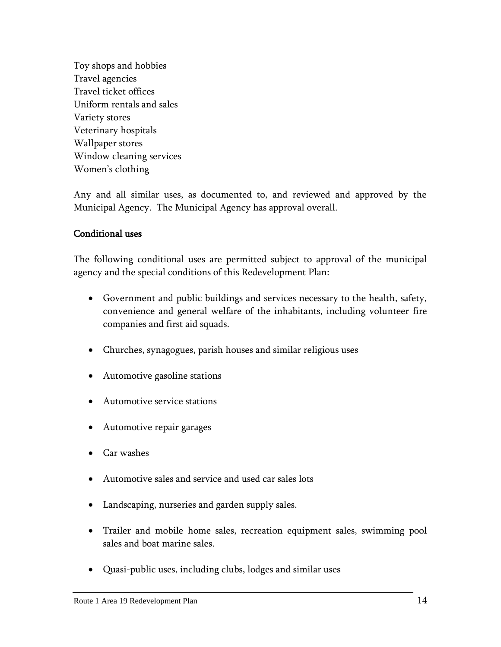Toy shops and hobbies Travel agencies Travel ticket offices Uniform rentals and sales Variety stores Veterinary hospitals Wallpaper stores Window cleaning services Women's clothing

Any and all similar uses, as documented to, and reviewed and approved by the Municipal Agency. The Municipal Agency has approval overall.

#### Conditional uses

The following conditional uses are permitted subject to approval of the municipal agency and the special conditions of this Redevelopment Plan:

- Government and public buildings and services necessary to the health, safety, convenience and general welfare of the inhabitants, including volunteer fire companies and first aid squads.
- Churches, synagogues, parish houses and similar religious uses
- Automotive gasoline stations
- Automotive service stations
- Automotive repair garages
- Car washes
- Automotive sales and service and used car sales lots
- Landscaping, nurseries and garden supply sales.
- Trailer and mobile home sales, recreation equipment sales, swimming pool sales and boat marine sales.
- Quasi-public uses, including clubs, lodges and similar uses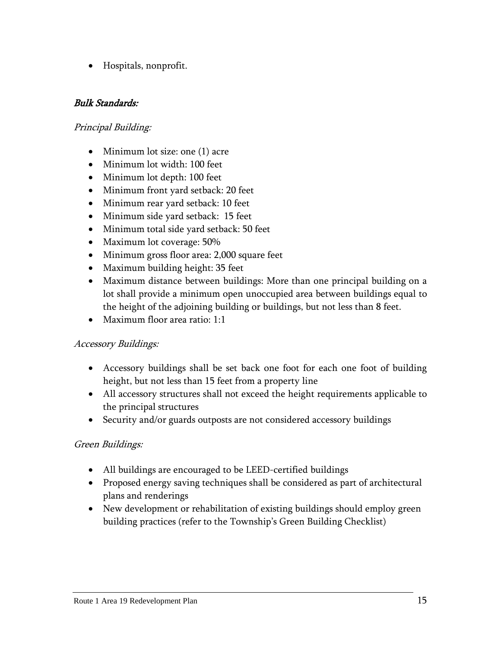Hospitals, nonprofit.

## Bulk Standards:

## Principal Building:

- Minimum lot size: one (1) acre
- Minimum lot width: 100 feet
- Minimum lot depth: 100 feet
- Minimum front yard setback: 20 feet
- Minimum rear yard setback: 10 feet
- Minimum side yard setback: 15 feet
- Minimum total side yard setback: 50 feet
- Maximum lot coverage: 50%
- Minimum gross floor area: 2,000 square feet
- Maximum building height: 35 feet
- Maximum distance between buildings: More than one principal building on a lot shall provide a minimum open unoccupied area between buildings equal to the height of the adjoining building or buildings, but not less than 8 feet.
- Maximum floor area ratio: 1:1

#### Accessory Buildings:

- Accessory buildings shall be set back one foot for each one foot of building height, but not less than 15 feet from a property line
- All accessory structures shall not exceed the height requirements applicable to the principal structures
- Security and/or guards outposts are not considered accessory buildings

#### Green Buildings:

- All buildings are encouraged to be LEED-certified buildings
- Proposed energy saving techniques shall be considered as part of architectural plans and renderings
- New development or rehabilitation of existing buildings should employ green building practices (refer to the Township's Green Building Checklist)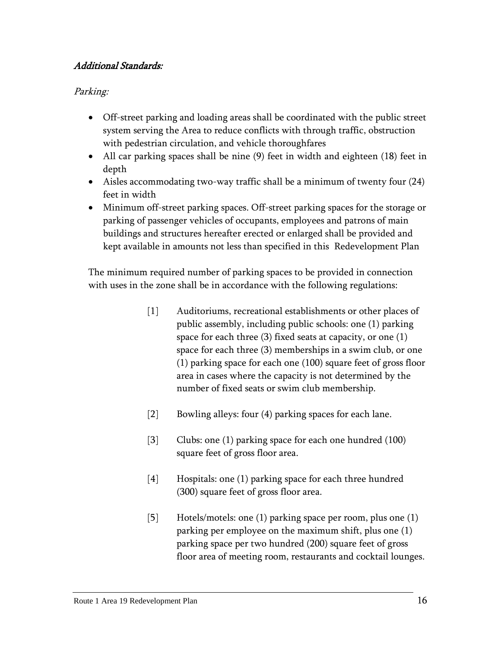## Additional Standards:

## Parking:

- Off-street parking and loading areas shall be coordinated with the public street system serving the Area to reduce conflicts with through traffic, obstruction with pedestrian circulation, and vehicle thoroughfares
- All car parking spaces shall be nine (9) feet in width and eighteen (18) feet in depth
- Aisles accommodating two-way traffic shall be a minimum of twenty four (24) feet in width
- Minimum off-street parking spaces. Off-street parking spaces for the storage or parking of passenger vehicles of occupants, employees and patrons of main buildings and structures hereafter erected or enlarged shall be provided and kept available in amounts not less than specified in this Redevelopment Plan

The minimum required number of parking spaces to be provided in connection with uses in the zone shall be in accordance with the following regulations:

- [1] Auditoriums, recreational establishments or other places of public assembly, including public schools: one (1) parking space for each three (3) fixed seats at capacity, or one (1) space for each three (3) memberships in a swim club, or one (1) parking space for each one (100) square feet of gross floor area in cases where the capacity is not determined by the number of fixed seats or swim club membership.
- [2] Bowling alleys: four (4) parking spaces for each lane.
- [3] Clubs: one (1) parking space for each one hundred (100) square feet of gross floor area.
- [4] Hospitals: one (1) parking space for each three hundred (300) square feet of gross floor area.
- [5] Hotels/motels: one (1) parking space per room, plus one (1) parking per employee on the maximum shift, plus one (1) parking space per two hundred (200) square feet of gross floor area of meeting room, restaurants and cocktail lounges.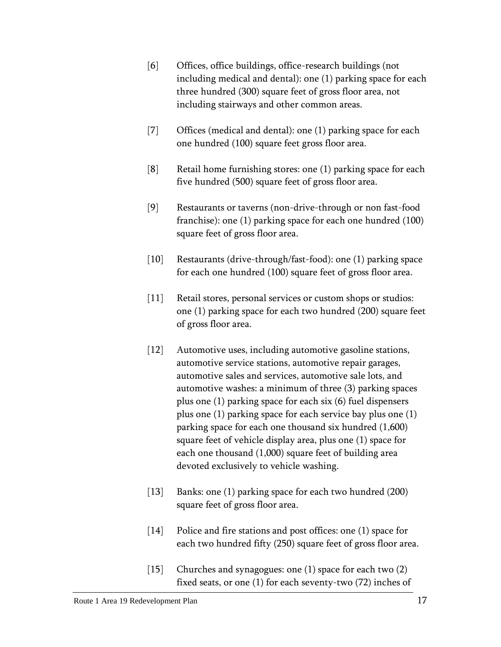- [6] Offices, office buildings, office-research buildings (not including medical and dental): one (1) parking space for each three hundred (300) square feet of gross floor area, not including stairways and other common areas.
- [7] Offices (medical and dental): one (1) parking space for each one hundred (100) square feet gross floor area.
- [8] Retail home furnishing stores: one (1) parking space for each five hundred (500) square feet of gross floor area.
- [9] Restaurants or taverns (non-drive-through or non fast-food franchise): one (1) parking space for each one hundred (100) square feet of gross floor area.
- [10] Restaurants (drive-through/fast-food): one (1) parking space for each one hundred (100) square feet of gross floor area.
- [11] Retail stores, personal services or custom shops or studios: one (1) parking space for each two hundred (200) square feet of gross floor area.
- [12] Automotive uses, including automotive gasoline stations, automotive service stations, automotive repair garages, automotive sales and services, automotive sale lots, and automotive washes: a minimum of three (3) parking spaces plus one (1) parking space for each six (6) fuel dispensers plus one (1) parking space for each service bay plus one (1) parking space for each one thousand six hundred (1,600) square feet of vehicle display area, plus one (1) space for each one thousand (1,000) square feet of building area devoted exclusively to vehicle washing.
- [13] Banks: one (1) parking space for each two hundred (200) square feet of gross floor area.
- [14] Police and fire stations and post offices: one (1) space for each two hundred fifty (250) square feet of gross floor area.
- [15] Churches and synagogues: one (1) space for each two (2) fixed seats, or one (1) for each seventy-two (72) inches of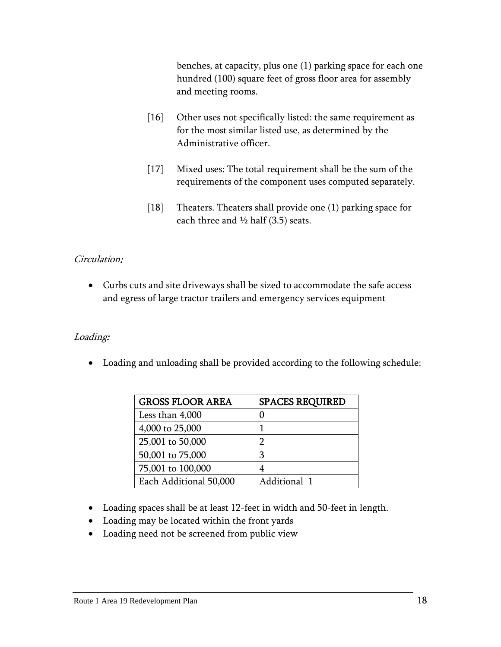benches, at capacity, plus one (1) parking space for each one hundred (100) square feet of gross floor area for assembly and meeting rooms.

- [16] Other uses not specifically listed: the same requirement as for the most similar listed use, as determined by the Administrative officer.
- [17] Mixed uses: The total requirement shall be the sum of the requirements of the component uses computed separately.
- [18] Theaters. Theaters shall provide one (1) parking space for each three and  $\frac{1}{2}$  half (3.5) seats.

#### Circulation:

 Curbs cuts and site driveways shall be sized to accommodate the safe access and egress of large tractor trailers and emergency services equipment

## Loading:

Loading and unloading shall be provided according to the following schedule:

| <b>GROSS FLOOR AREA</b> | <b>SPACES REQUIRED</b> |
|-------------------------|------------------------|
| Less than 4,000         | 0                      |
| 4,000 to 25,000         |                        |
| 25,001 to 50,000        | ר                      |
| 50,001 to 75,000        | 3                      |
| 75,001 to 100,000       |                        |
| Each Additional 50,000  | Additional 1           |

- Loading spaces shall be at least 12-feet in width and 50-feet in length.
- Loading may be located within the front yards
- Loading need not be screened from public view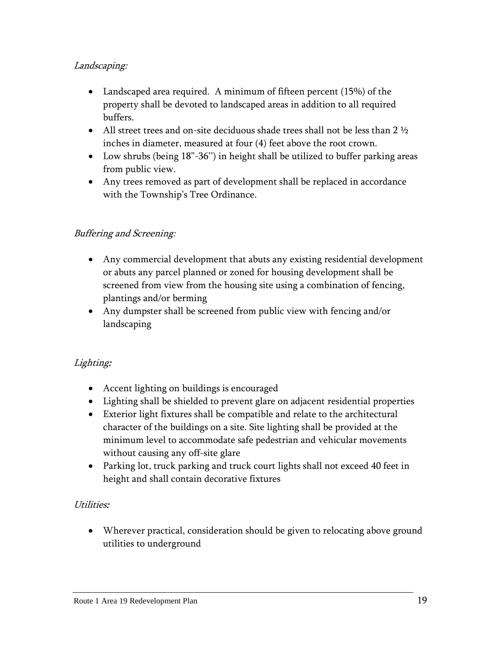## Landscaping:

- Landscaped area required. A minimum of fifteen percent (15%) of the property shall be devoted to landscaped areas in addition to all required buffers.
- All street trees and on-site deciduous shade trees shall not be less than 2  $\frac{1}{2}$ inches in diameter, measured at four (4) feet above the root crown.
- Low shrubs (being 18"-36") in height shall be utilized to buffer parking areas from public view.
- Any trees removed as part of development shall be replaced in accordance with the Township's Tree Ordinance.

## Buffering and Screening:

- Any commercial development that abuts any existing residential development or abuts any parcel planned or zoned for housing development shall be screened from view from the housing site using a combination of fencing, plantings and/or berming
- Any dumpster shall be screened from public view with fencing and/or landscaping

## Lighting:

- Accent lighting on buildings is encouraged
- Lighting shall be shielded to prevent glare on adjacent residential properties
- Exterior light fixtures shall be compatible and relate to the architectural character of the buildings on a site. Site lighting shall be provided at the minimum level to accommodate safe pedestrian and vehicular movements without causing any off-site glare
- Parking lot, truck parking and truck court lights shall not exceed 40 feet in height and shall contain decorative fixtures

## Utilities:

 Wherever practical, consideration should be given to relocating above ground utilities to underground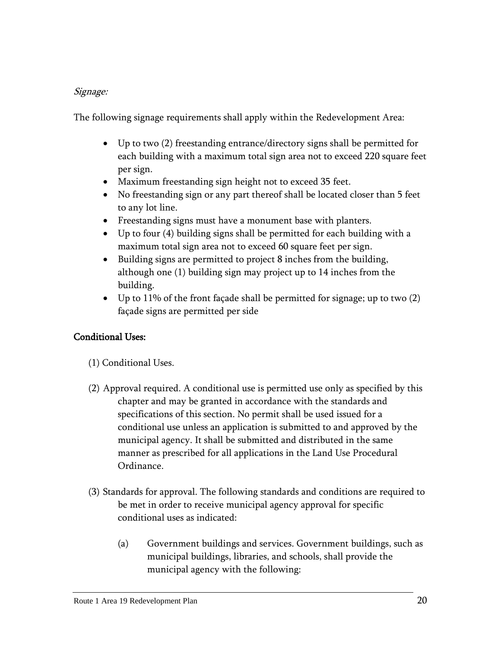## Signage:

The following signage requirements shall apply within the Redevelopment Area:

- Up to two (2) freestanding entrance/directory signs shall be permitted for each building with a maximum total sign area not to exceed 220 square feet per sign.
- Maximum freestanding sign height not to exceed 35 feet.
- No freestanding sign or any part thereof shall be located closer than 5 feet to any lot line.
- Freestanding signs must have a monument base with planters.
- Up to four (4) building signs shall be permitted for each building with a maximum total sign area not to exceed 60 square feet per sign.
- Building signs are permitted to project 8 inches from the building, although one (1) building sign may project up to 14 inches from the building.
- Up to 11% of the front façade shall be permitted for signage; up to two (2) façade signs are permitted per side

## Conditional Uses:

- (1) Conditional Uses.
- (2) Approval required. A conditional use is permitted use only as specified by this chapter and may be granted in accordance with the standards and specifications of this section. No permit shall be used issued for a conditional use unless an application is submitted to and approved by the municipal agency. It shall be submitted and distributed in the same manner as prescribed for all applications in the Land Use Procedural Ordinance.
- (3) Standards for approval. The following standards and conditions are required to be met in order to receive municipal agency approval for specific conditional uses as indicated:
	- (a) Government buildings and services. Government buildings, such as municipal buildings, libraries, and schools, shall provide the municipal agency with the following: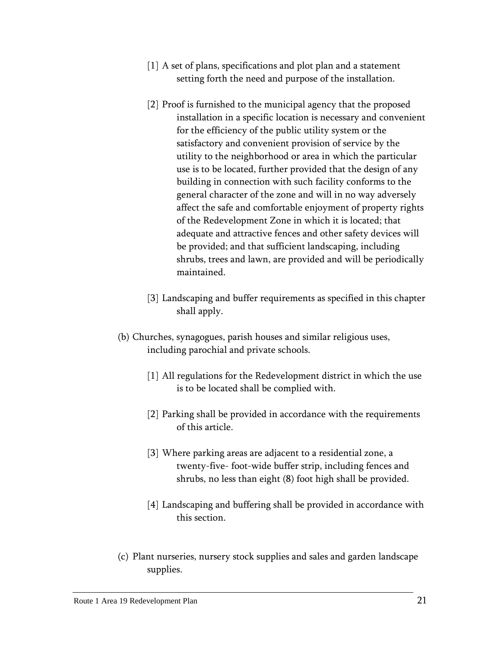- [1] A set of plans, specifications and plot plan and a statement setting forth the need and purpose of the installation.
- [2] Proof is furnished to the municipal agency that the proposed installation in a specific location is necessary and convenient for the efficiency of the public utility system or the satisfactory and convenient provision of service by the utility to the neighborhood or area in which the particular use is to be located, further provided that the design of any building in connection with such facility conforms to the general character of the zone and will in no way adversely affect the safe and comfortable enjoyment of property rights of the Redevelopment Zone in which it is located; that adequate and attractive fences and other safety devices will be provided; and that sufficient landscaping, including shrubs, trees and lawn, are provided and will be periodically maintained.
- [3] Landscaping and buffer requirements as specified in this chapter shall apply.
- (b) Churches, synagogues, parish houses and similar religious uses, including parochial and private schools.
	- [1] All regulations for the Redevelopment district in which the use is to be located shall be complied with.
	- [2] Parking shall be provided in accordance with the requirements of this article.
	- [3] Where parking areas are adjacent to a residential zone, a twenty-five- foot-wide buffer strip, including fences and shrubs, no less than eight (8) foot high shall be provided.
	- [4] Landscaping and buffering shall be provided in accordance with this section.
- (c) Plant nurseries, nursery stock supplies and sales and garden landscape supplies.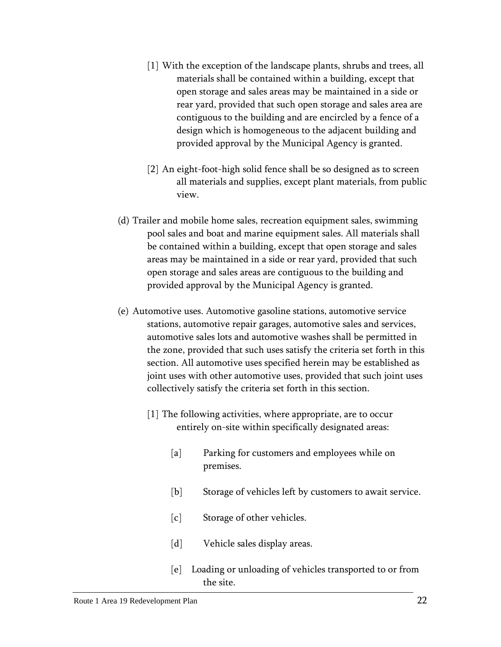- [1] With the exception of the landscape plants, shrubs and trees, all materials shall be contained within a building, except that open storage and sales areas may be maintained in a side or rear yard, provided that such open storage and sales area are contiguous to the building and are encircled by a fence of a design which is homogeneous to the adjacent building and provided approval by the Municipal Agency is granted.
- [2] An eight-foot-high solid fence shall be so designed as to screen all materials and supplies, except plant materials, from public view.
- (d) Trailer and mobile home sales, recreation equipment sales, swimming pool sales and boat and marine equipment sales. All materials shall be contained within a building, except that open storage and sales areas may be maintained in a side or rear yard, provided that such open storage and sales areas are contiguous to the building and provided approval by the Municipal Agency is granted.
- (e) Automotive uses. Automotive gasoline stations, automotive service stations, automotive repair garages, automotive sales and services, automotive sales lots and automotive washes shall be permitted in the zone, provided that such uses satisfy the criteria set forth in this section. All automotive uses specified herein may be established as joint uses with other automotive uses, provided that such joint uses collectively satisfy the criteria set forth in this section.
	- [1] The following activities, where appropriate, are to occur entirely on-site within specifically designated areas:
		- [a] Parking for customers and employees while on premises.
		- [b] Storage of vehicles left by customers to await service.
		- [c] Storage of other vehicles.
		- [d] Vehicle sales display areas.
		- [e] Loading or unloading of vehicles transported to or from the site.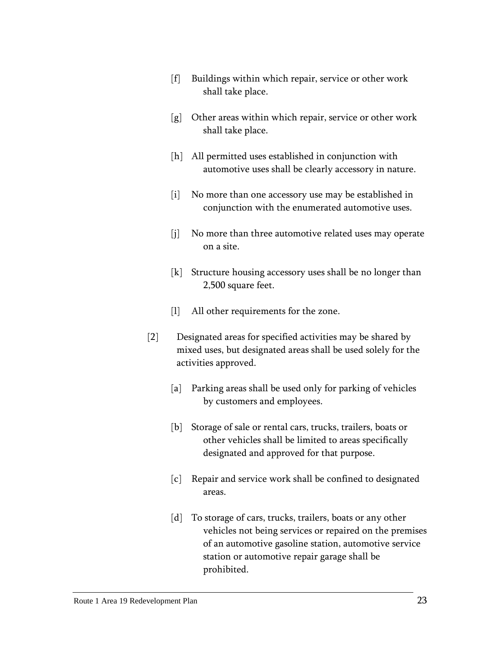- [f] Buildings within which repair, service or other work shall take place.
- [g] Other areas within which repair, service or other work shall take place.
- [h] All permitted uses established in conjunction with automotive uses shall be clearly accessory in nature.
- [i] No more than one accessory use may be established in conjunction with the enumerated automotive uses.
- [i] No more than three automotive related uses may operate on a site.
- [k] Structure housing accessory uses shall be no longer than 2,500 square feet.
- [l] All other requirements for the zone.
- [2] Designated areas for specified activities may be shared by mixed uses, but designated areas shall be used solely for the activities approved.
	- [a] Parking areas shall be used only for parking of vehicles by customers and employees.
	- [b] Storage of sale or rental cars, trucks, trailers, boats or other vehicles shall be limited to areas specifically designated and approved for that purpose.
	- [c] Repair and service work shall be confined to designated areas.
	- [d] To storage of cars, trucks, trailers, boats or any other vehicles not being services or repaired on the premises of an automotive gasoline station, automotive service station or automotive repair garage shall be prohibited.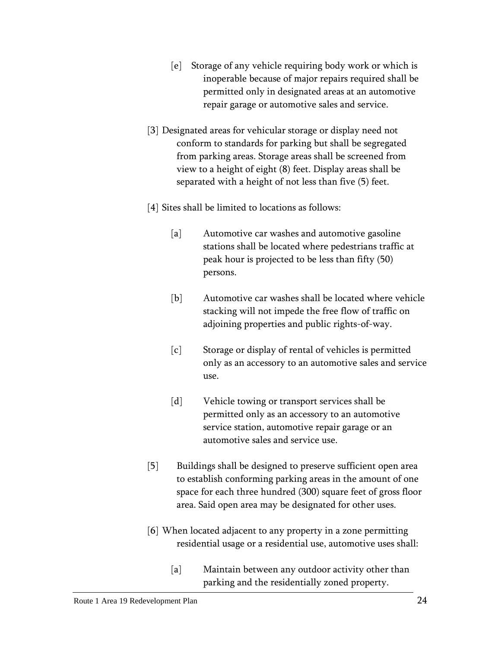- [e] Storage of any vehicle requiring body work or which is inoperable because of major repairs required shall be permitted only in designated areas at an automotive repair garage or automotive sales and service.
- [3] Designated areas for vehicular storage or display need not conform to standards for parking but shall be segregated from parking areas. Storage areas shall be screened from view to a height of eight (8) feet. Display areas shall be separated with a height of not less than five (5) feet.
- [4] Sites shall be limited to locations as follows:
	- [a] Automotive car washes and automotive gasoline stations shall be located where pedestrians traffic at peak hour is projected to be less than fifty (50) persons.
	- [b] Automotive car washes shall be located where vehicle stacking will not impede the free flow of traffic on adjoining properties and public rights-of-way.
	- [c] Storage or display of rental of vehicles is permitted only as an accessory to an automotive sales and service use.
	- [d] Vehicle towing or transport services shall be permitted only as an accessory to an automotive service station, automotive repair garage or an automotive sales and service use.
- [5] Buildings shall be designed to preserve sufficient open area to establish conforming parking areas in the amount of one space for each three hundred (300) square feet of gross floor area. Said open area may be designated for other uses.
- [6] When located adjacent to any property in a zone permitting residential usage or a residential use, automotive uses shall:
	- [a] Maintain between any outdoor activity other than parking and the residentially zoned property.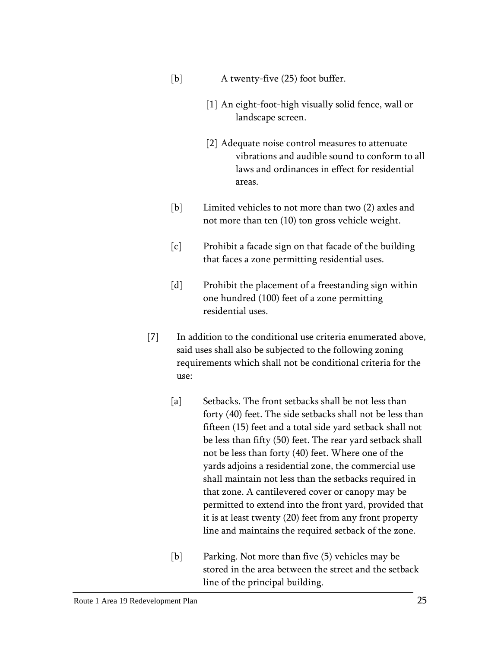- [b] A twenty-five (25) foot buffer.
	- [1] An eight-foot-high visually solid fence, wall or landscape screen.
	- [2] Adequate noise control measures to attenuate vibrations and audible sound to conform to all laws and ordinances in effect for residential areas.
- [b] Limited vehicles to not more than two (2) axles and not more than ten (10) ton gross vehicle weight.
- [c] Prohibit a facade sign on that facade of the building that faces a zone permitting residential uses.
- [d] Prohibit the placement of a freestanding sign within one hundred (100) feet of a zone permitting residential uses.
- [7] In addition to the conditional use criteria enumerated above, said uses shall also be subjected to the following zoning requirements which shall not be conditional criteria for the use:
	- [a] Setbacks. The front setbacks shall be not less than forty (40) feet. The side setbacks shall not be less than fifteen (15) feet and a total side yard setback shall not be less than fifty (50) feet. The rear yard setback shall not be less than forty (40) feet. Where one of the yards adjoins a residential zone, the commercial use shall maintain not less than the setbacks required in that zone. A cantilevered cover or canopy may be permitted to extend into the front yard, provided that it is at least twenty (20) feet from any front property line and maintains the required setback of the zone.
	- [b] Parking. Not more than five (5) vehicles may be stored in the area between the street and the setback line of the principal building.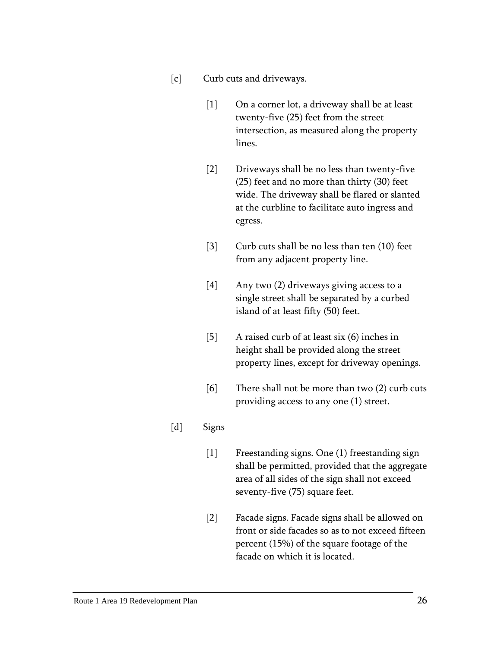- [c] Curb cuts and driveways.
	- [1] On a corner lot, a driveway shall be at least twenty-five (25) feet from the street intersection, as measured along the property lines.
	- [2] Driveways shall be no less than twenty-five (25) feet and no more than thirty (30) feet wide. The driveway shall be flared or slanted at the curbline to facilitate auto ingress and egress.
	- [3] Curb cuts shall be no less than ten (10) feet from any adjacent property line.
	- [4] Any two (2) driveways giving access to a single street shall be separated by a curbed island of at least fifty (50) feet.
	- [5] A raised curb of at least six (6) inches in height shall be provided along the street property lines, except for driveway openings.
	- [6] There shall not be more than two (2) curb cuts providing access to any one (1) street.

## [d] Signs

- [1] Freestanding signs. One (1) freestanding sign shall be permitted, provided that the aggregate area of all sides of the sign shall not exceed seventy-five (75) square feet.
- [2] Facade signs. Facade signs shall be allowed on front or side facades so as to not exceed fifteen percent (15%) of the square footage of the facade on which it is located.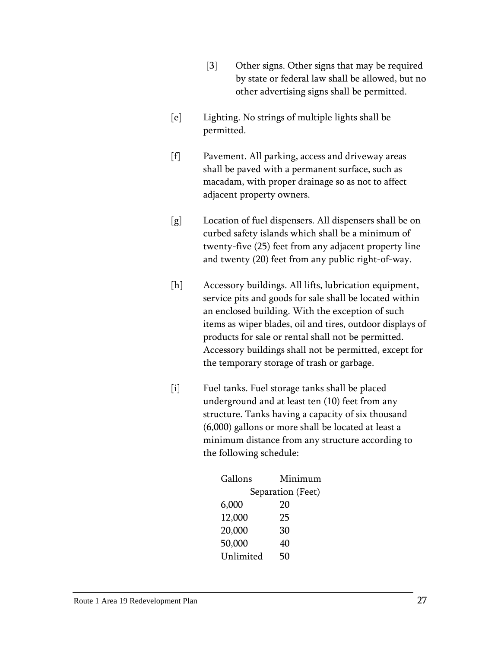- [3] Other signs. Other signs that may be required by state or federal law shall be allowed, but no other advertising signs shall be permitted.
- [e] Lighting. No strings of multiple lights shall be permitted.
- [f] Pavement. All parking, access and driveway areas shall be paved with a permanent surface, such as macadam, with proper drainage so as not to affect adjacent property owners.
- [g] Location of fuel dispensers. All dispensers shall be on curbed safety islands which shall be a minimum of twenty-five (25) feet from any adjacent property line and twenty (20) feet from any public right-of-way.
- [h] Accessory buildings. All lifts, lubrication equipment, service pits and goods for sale shall be located within an enclosed building. With the exception of such items as wiper blades, oil and tires, outdoor displays of products for sale or rental shall not be permitted. Accessory buildings shall not be permitted, except for the temporary storage of trash or garbage.
- [i] Fuel tanks. Fuel storage tanks shall be placed underground and at least ten (10) feet from any structure. Tanks having a capacity of six thousand (6,000) gallons or more shall be located at least a minimum distance from any structure according to the following schedule:

| Gallons   | Minimum           |
|-----------|-------------------|
|           | Separation (Feet) |
| 6,000     | 20                |
| 12,000    | 25                |
| 20,000    | 30                |
| 50,000    | 40                |
| Unlimited | 50                |
|           |                   |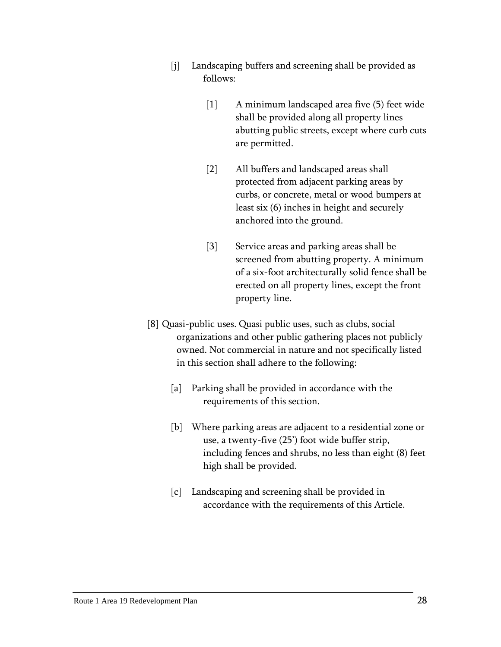- [i] Landscaping buffers and screening shall be provided as follows:
	- [1] A minimum landscaped area five (5) feet wide shall be provided along all property lines abutting public streets, except where curb cuts are permitted.
	- [2] All buffers and landscaped areas shall protected from adjacent parking areas by curbs, or concrete, metal or wood bumpers at least six (6) inches in height and securely anchored into the ground.
	- [3] Service areas and parking areas shall be screened from abutting property. A minimum of a six-foot architecturally solid fence shall be erected on all property lines, except the front property line.
- [8] Quasi-public uses. Quasi public uses, such as clubs, social organizations and other public gathering places not publicly owned. Not commercial in nature and not specifically listed in this section shall adhere to the following:
	- [a] Parking shall be provided in accordance with the requirements of this section.
	- [b] Where parking areas are adjacent to a residential zone or use, a twenty-five (25') foot wide buffer strip, including fences and shrubs, no less than eight (8) feet high shall be provided.
	- [c] Landscaping and screening shall be provided in accordance with the requirements of this Article.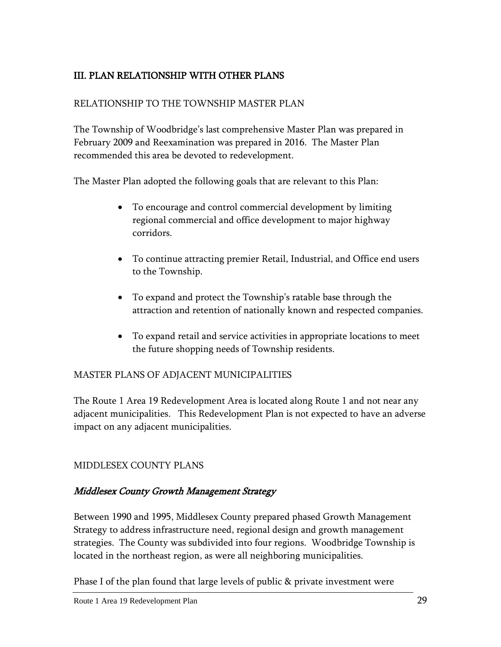## <span id="page-32-0"></span>III. PLAN RELATIONSHIP WITH OTHER PLANS

### RELATIONSHIP TO THE TOWNSHIP MASTER PLAN

The Township of Woodbridge's last comprehensive Master Plan was prepared in February 2009 and Reexamination was prepared in 2016. The Master Plan recommended this area be devoted to redevelopment.

The Master Plan adopted the following goals that are relevant to this Plan:

- To encourage and control commercial development by limiting regional commercial and office development to major highway corridors.
- To continue attracting premier Retail, Industrial, and Office end users to the Township.
- To expand and protect the Township's ratable base through the attraction and retention of nationally known and respected companies.
- To expand retail and service activities in appropriate locations to meet the future shopping needs of Township residents.

#### MASTER PLANS OF ADJACENT MUNICIPALITIES

The Route 1 Area 19 Redevelopment Area is located along Route 1 and not near any adjacent municipalities. This Redevelopment Plan is not expected to have an adverse impact on any adjacent municipalities.

## MIDDLESEX COUNTY PLANS

## Middlesex County Growth Management Strategy

Between 1990 and 1995, Middlesex County prepared phased Growth Management Strategy to address infrastructure need, regional design and growth management strategies. The County was subdivided into four regions. Woodbridge Township is located in the northeast region, as were all neighboring municipalities.

Phase I of the plan found that large levels of public & private investment were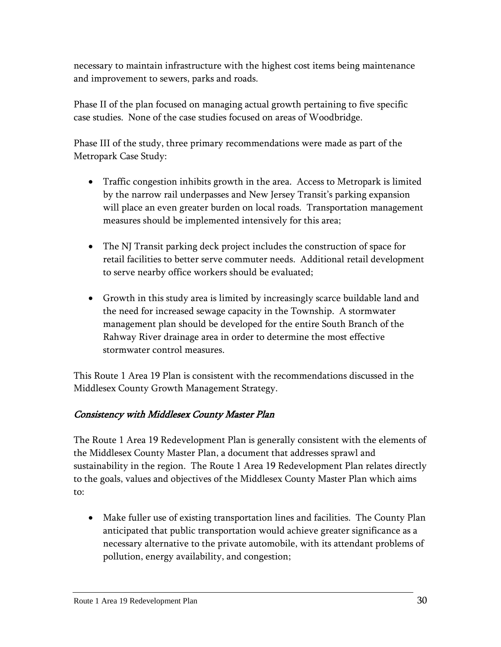necessary to maintain infrastructure with the highest cost items being maintenance and improvement to sewers, parks and roads.

Phase II of the plan focused on managing actual growth pertaining to five specific case studies. None of the case studies focused on areas of Woodbridge.

Phase III of the study, three primary recommendations were made as part of the Metropark Case Study:

- Traffic congestion inhibits growth in the area. Access to Metropark is limited by the narrow rail underpasses and New Jersey Transit's parking expansion will place an even greater burden on local roads. Transportation management measures should be implemented intensively for this area;
- The NJ Transit parking deck project includes the construction of space for retail facilities to better serve commuter needs. Additional retail development to serve nearby office workers should be evaluated;
- Growth in this study area is limited by increasingly scarce buildable land and the need for increased sewage capacity in the Township. A stormwater management plan should be developed for the entire South Branch of the Rahway River drainage area in order to determine the most effective stormwater control measures.

This Route 1 Area 19 Plan is consistent with the recommendations discussed in the Middlesex County Growth Management Strategy.

## Consistency with Middlesex County Master Plan

The Route 1 Area 19 Redevelopment Plan is generally consistent with the elements of the Middlesex County Master Plan, a document that addresses sprawl and sustainability in the region. The Route 1 Area 19 Redevelopment Plan relates directly to the goals, values and objectives of the Middlesex County Master Plan which aims to:

 Make fuller use of existing transportation lines and facilities. The County Plan anticipated that public transportation would achieve greater significance as a necessary alternative to the private automobile, with its attendant problems of pollution, energy availability, and congestion;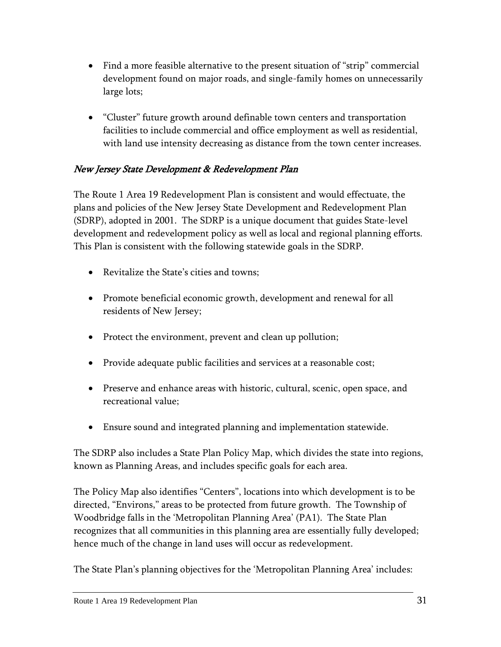- Find a more feasible alternative to the present situation of "strip" commercial development found on major roads, and single-family homes on unnecessarily large lots;
- "Cluster" future growth around definable town centers and transportation facilities to include commercial and office employment as well as residential, with land use intensity decreasing as distance from the town center increases.

## New Jersey State Development & Redevelopment Plan

The Route 1 Area 19 Redevelopment Plan is consistent and would effectuate, the plans and policies of the New Jersey State Development and Redevelopment Plan (SDRP), adopted in 2001. The SDRP is a unique document that guides State-level development and redevelopment policy as well as local and regional planning efforts. This Plan is consistent with the following statewide goals in the SDRP.

- Revitalize the State's cities and towns;
- Promote beneficial economic growth, development and renewal for all residents of New Jersey;
- Protect the environment, prevent and clean up pollution;
- Provide adequate public facilities and services at a reasonable cost;
- Preserve and enhance areas with historic, cultural, scenic, open space, and recreational value;
- Ensure sound and integrated planning and implementation statewide.

The SDRP also includes a State Plan Policy Map, which divides the state into regions, known as Planning Areas, and includes specific goals for each area.

The Policy Map also identifies "Centers", locations into which development is to be directed, "Environs," areas to be protected from future growth. The Township of Woodbridge falls in the 'Metropolitan Planning Area' (PA1). The State Plan recognizes that all communities in this planning area are essentially fully developed; hence much of the change in land uses will occur as redevelopment.

The State Plan's planning objectives for the 'Metropolitan Planning Area' includes: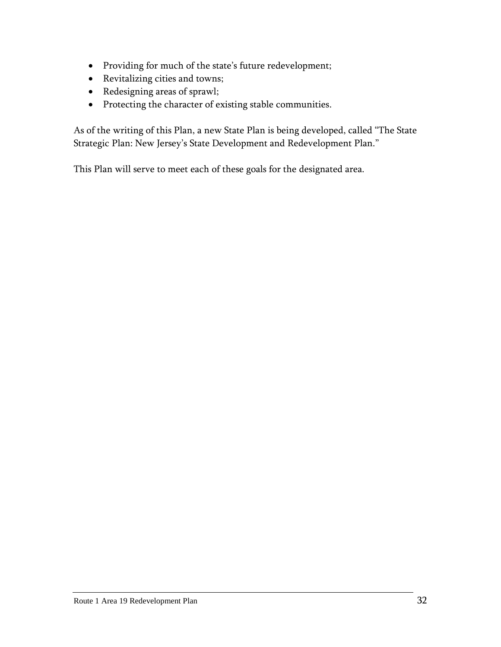- Providing for much of the state's future redevelopment;
- Revitalizing cities and towns;
- Redesigning areas of sprawl;
- Protecting the character of existing stable communities.

As of the writing of this Plan, a new State Plan is being developed, called "The State Strategic Plan: New Jersey's State Development and Redevelopment Plan."

This Plan will serve to meet each of these goals for the designated area.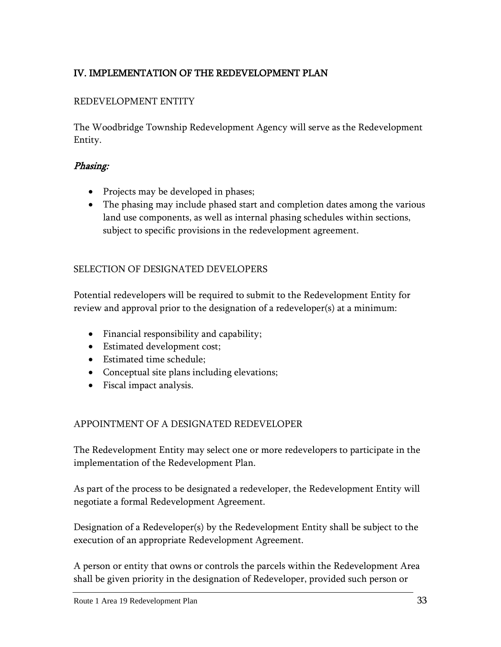## <span id="page-36-0"></span>IV. IMPLEMENTATION OF THE REDEVELOPMENT PLAN

## REDEVELOPMENT ENTITY

The Woodbridge Township Redevelopment Agency will serve as the Redevelopment Entity.

### Phasing:

- Projects may be developed in phases;
- The phasing may include phased start and completion dates among the various land use components, as well as internal phasing schedules within sections, subject to specific provisions in the redevelopment agreement.

#### SELECTION OF DESIGNATED DEVELOPERS

Potential redevelopers will be required to submit to the Redevelopment Entity for review and approval prior to the designation of a redeveloper(s) at a minimum:

- Financial responsibility and capability;
- Estimated development cost;
- Estimated time schedule;
- Conceptual site plans including elevations;
- Fiscal impact analysis.

## APPOINTMENT OF A DESIGNATED REDEVELOPER

The Redevelopment Entity may select one or more redevelopers to participate in the implementation of the Redevelopment Plan.

As part of the process to be designated a redeveloper, the Redevelopment Entity will negotiate a formal Redevelopment Agreement.

Designation of a Redeveloper(s) by the Redevelopment Entity shall be subject to the execution of an appropriate Redevelopment Agreement.

A person or entity that owns or controls the parcels within the Redevelopment Area shall be given priority in the designation of Redeveloper, provided such person or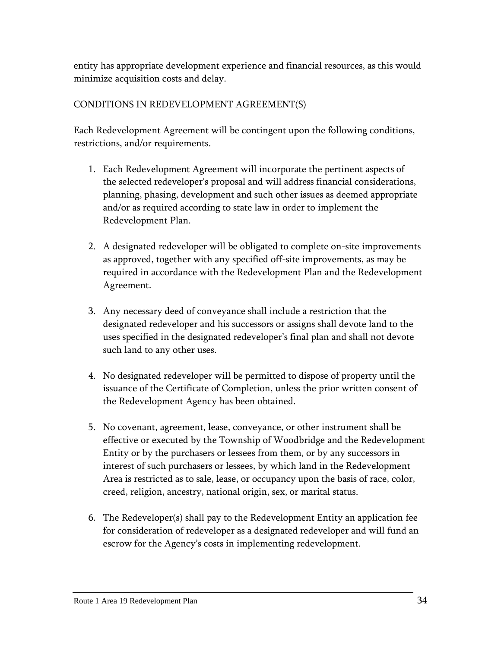entity has appropriate development experience and financial resources, as this would minimize acquisition costs and delay.

## CONDITIONS IN REDEVELOPMENT AGREEMENT(S)

Each Redevelopment Agreement will be contingent upon the following conditions, restrictions, and/or requirements.

- 1. Each Redevelopment Agreement will incorporate the pertinent aspects of the selected redeveloper's proposal and will address financial considerations, planning, phasing, development and such other issues as deemed appropriate and/or as required according to state law in order to implement the Redevelopment Plan.
- 2. A designated redeveloper will be obligated to complete on-site improvements as approved, together with any specified off-site improvements, as may be required in accordance with the Redevelopment Plan and the Redevelopment Agreement.
- 3. Any necessary deed of conveyance shall include a restriction that the designated redeveloper and his successors or assigns shall devote land to the uses specified in the designated redeveloper's final plan and shall not devote such land to any other uses.
- 4. No designated redeveloper will be permitted to dispose of property until the issuance of the Certificate of Completion, unless the prior written consent of the Redevelopment Agency has been obtained.
- 5. No covenant, agreement, lease, conveyance, or other instrument shall be effective or executed by the Township of Woodbridge and the Redevelopment Entity or by the purchasers or lessees from them, or by any successors in interest of such purchasers or lessees, by which land in the Redevelopment Area is restricted as to sale, lease, or occupancy upon the basis of race, color, creed, religion, ancestry, national origin, sex, or marital status.
- 6. The Redeveloper(s) shall pay to the Redevelopment Entity an application fee for consideration of redeveloper as a designated redeveloper and will fund an escrow for the Agency's costs in implementing redevelopment.